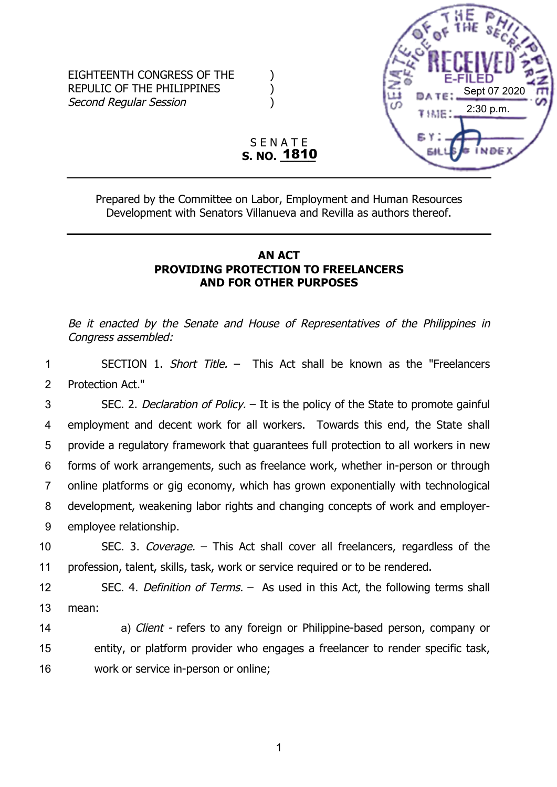

S E N A T E **S. NO. \_\_\_\_\_** 1810

Prepared by the Committee on Labor, Employment and Human Resources Development with Senators Villanueva and Revilla as authors thereof.

## **AN ACT PROVIDING PROTECTION TO FREELANCERS AND FOR OTHER PURPOSES**

Be it enacted by the Senate and House of Representatives of the Philippines in Congress assembled:

1 SECTION 1. Short Title. –This Act shall be known as the "Freelancers 2 Protection Act."

 SEC. 2. Declaration of Policy. – It is the policy of the State to promote gainful employment and decent work for all workers. Towards this end, the State shall provide a regulatory framework that guarantees full protection to all workers in new forms of work arrangements, such as freelance work, whether in-person or through online platforms or gig economy, which has grown exponentially with technological development, weakening labor rights and changing concepts of work and employer-employee relationship.

10 SEC. 3. Coverage. – This Act shall cover all freelancers, regardless of the 11 profession, talent, skills, task, work or service required or to be rendered.

12 SEC. 4. Definition of Terms. –As used in this Act, the following terms shall 13 mean:

14 a) Client - refers to any foreign or Philippine-based person, company or 15 entity, or platform provider who engages a freelancer to render specific task, 16 work or service in-person or online;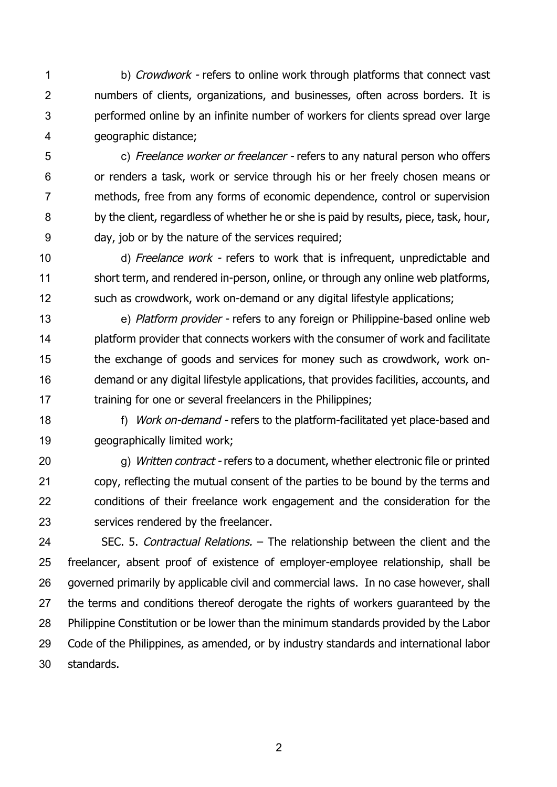1 b) Crowdwork - refers to online work through platforms that connect vast numbers of clients, organizations, and businesses, often across borders. It is performed online by an infinite number of workers for clients spread over large geographic distance;

 c) Freelance worker or freelancer - refers to any natural person who offers or renders a task, work or service through his or her freely chosen means or methods, free from any forms of economic dependence, control or supervision by the client, regardless of whether he or she is paid by results, piece, task, hour, day, job or by the nature of the services required;

10 d) Freelance work - refers to work that is infrequent, unpredictable and short term, and rendered in-person, online, or through any online web platforms, such as crowdwork, work on-demand or any digital lifestyle applications;

13 e) *Platform provider -* refers to any foreign or Philippine-based online web platform provider that connects workers with the consumer of work and facilitate the exchange of goods and services for money such as crowdwork, work on- demand or any digital lifestyle applications, that provides facilities, accounts, and 17 training for one or several freelancers in the Philippines;

18 f) Work on-demand - refers to the platform-facilitated yet place-based and geographically limited work;

20 g) Written contract - refers to a document, whether electronic file or printed copy, reflecting the mutual consent of the parties to be bound by the terms and conditions of their freelance work engagement and the consideration for the services rendered by the freelancer.

24 SEC. 5. Contractual Relations. – The relationship between the client and the freelancer, absent proof of existence of employer-employee relationship, shall be 26 governed primarily by applicable civil and commercial laws. In no case however, shall the terms and conditions thereof derogate the rights of workers guaranteed by the Philippine Constitution or be lower than the minimum standards provided by the Labor Code of the Philippines, as amended, or by industry standards and international labor standards.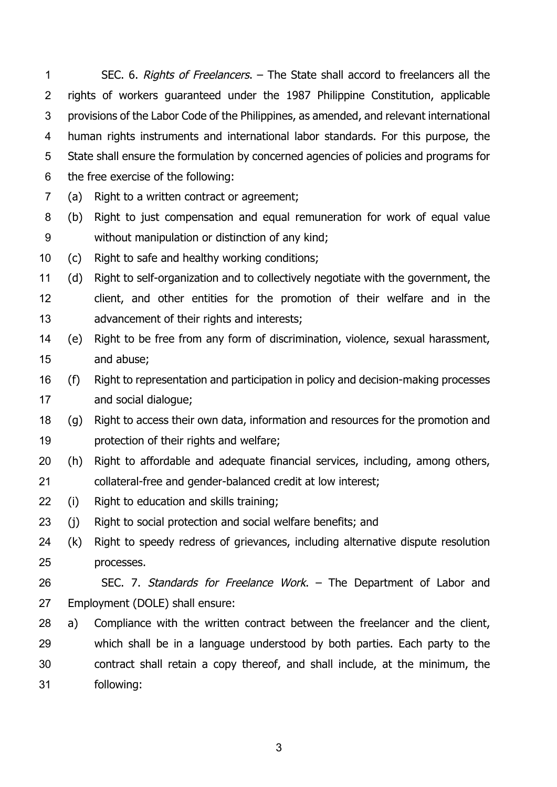1 SEC. 6. Rights of Freelancers. – The State shall accord to freelancers all the rights of workers guaranteed under the 1987 Philippine Constitution, applicable provisions of the Labor Code of the Philippines, as amended, and relevant international human rights instruments and international labor standards. For this purpose, the State shall ensure the formulation by concerned agencies of policies and programs for the free exercise of the following:

(a) Right to a written contract or agreement;

- (b) Right to just compensation and equal remuneration for work of equal value without manipulation or distinction of any kind;
- (c) Right to safe and healthy working conditions;
- (d) Right to self-organization and to collectively negotiate with the government, the client, and other entities for the promotion of their welfare and in the advancement of their rights and interests;
- (e) Right to be free from any form of discrimination, violence, sexual harassment, and abuse;
- (f) Right to representation and participation in policy and decision-making processes and social dialogue;
- (g) Right to access their own data, information and resources for the promotion and protection of their rights and welfare;
- (h) Right to affordable and adequate financial services, including, among others, collateral-free and gender-balanced credit at low interest;
- (i) Right to education and skills training;
- (j) Right to social protection and social welfare benefits; and
- (k) Right to speedy redress of grievances, including alternative dispute resolution processes.
- 26 SEC. 7. Standards for Freelance Work. The Department of Labor and Employment (DOLE) shall ensure:
- a) Compliance with the written contract between the freelancer and the client, which shall be in a language understood by both parties. Each party to the contract shall retain a copy thereof, and shall include, at the minimum, the following: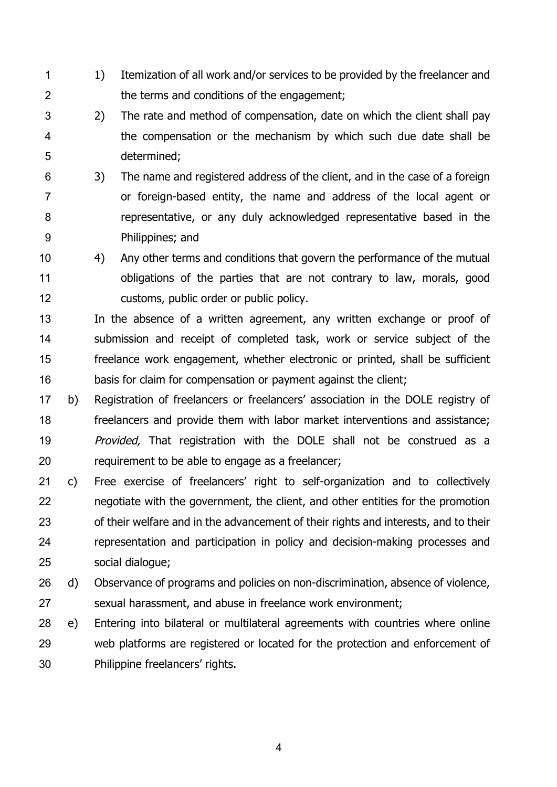- 1 1 1) Itemization of all work and/or services to be provided by the freelancer and the terms and conditions of the engagement;
- - 2) The rate and method of compensation, date on which the client shall pay the compensation or the mechanism by which such due date shall be determined;
- 3) The name and registered address of the client, and in the case of a foreign or foreign-based entity, the name and address of the local agent or representative, or any duly acknowledged representative based in the Philippines; and
- 4) Any other terms and conditions that govern the performance of the mutual obligations of the parties that are not contrary to law, morals, good customs, public order or public policy.
- In the absence of a written agreement, any written exchange or proof of 14 submission and receipt of completed task, work or service subject of the freelance work engagement, whether electronic or printed, shall be sufficient basis for claim for compensation or payment against the client;
- b) Registration of freelancers or freelancers' association in the DOLE registry of freelancers and provide them with labor market interventions and assistance; *Provided*, That registration with the DOLE shall not be construed as a requirement to be able to engage as a freelancer;
- c) Free exercise of freelancers' right to self-organization and to collectively negotiate with the government, the client, and other entities for the promotion of their welfare and in the advancement of their rights and interests, and to their representation and participation in policy and decision-making processes and social dialogue;
- d) Observance of programs and policies on non-discrimination, absence of violence, sexual harassment, and abuse in freelance work environment;
- e) Entering into bilateral or multilateral agreements with countries where online web platforms are registered or located for the protection and enforcement of Philippine freelancers' rights.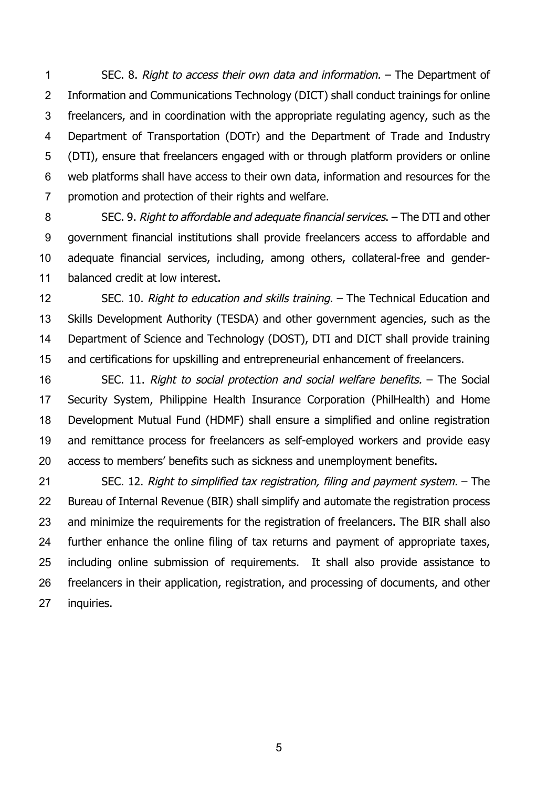SEC. 8. Right to access their own data and information. – The Department of Information and Communications Technology (DICT) shall conduct trainings for online freelancers, and in coordination with the appropriate regulating agency, such as the Department of Transportation (DOTr) and the Department of Trade and Industry (DTI), ensure that freelancers engaged with or through platform providers or online web platforms shall have access to their own data, information and resources for the promotion and protection of their rights and welfare.

 SEC. 9. Right to affordable and adequate financial services. – The DTI and other government financial institutions shall provide freelancers access to affordable and adequate financial services, including, among others, collateral-free and gender-balanced credit at low interest.

12 SEC. 10. Right to education and skills training. – The Technical Education and Skills Development Authority (TESDA) and other government agencies, such as the Department of Science and Technology (DOST), DTI and DICT shall provide training and certifications for upskilling and entrepreneurial enhancement of freelancers.

 SEC. 11. Right to social protection and social welfare benefits. – The Social Security System, Philippine Health Insurance Corporation (PhilHealth) and Home Development Mutual Fund (HDMF) shall ensure a simplified and online registration and remittance process for freelancers as self-employed workers and provide easy access to members' benefits such as sickness and unemployment benefits.

 SEC. 12. Right to simplified tax registration, filing and payment system. – The Bureau of Internal Revenue (BIR) shall simplify and automate the registration process and minimize the requirements for the registration of freelancers. The BIR shall also further enhance the online filing of tax returns and payment of appropriate taxes, including online submission of requirements. It shall also provide assistance to freelancers in their application, registration, and processing of documents, and other 27 inquiries.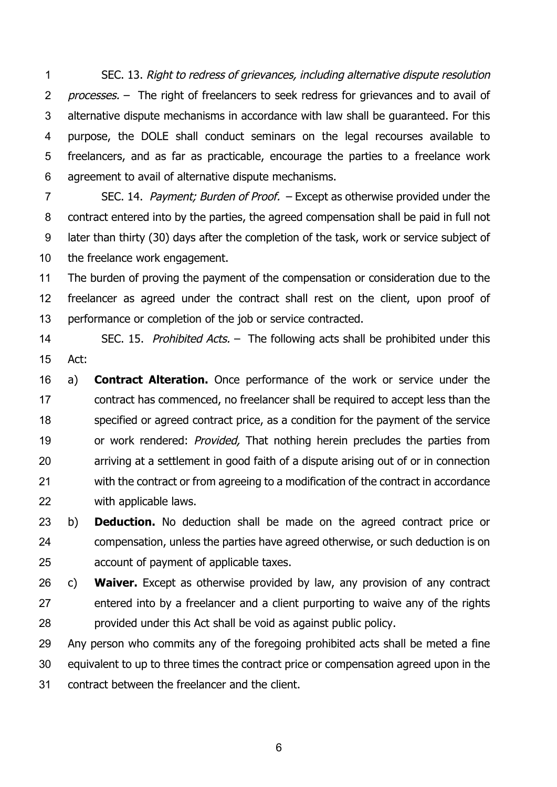SEC. 13. Right to redress of grievances, including alternative dispute resolution 2 processes. – The right of freelancers to seek redress for grievances and to avail of alternative dispute mechanisms in accordance with law shall be guaranteed. For this purpose, the DOLE shall conduct seminars on the legal recourses available to freelancers, and as far as practicable, encourage the parties to a freelance work agreement to avail of alternative dispute mechanisms.

7 SEC. 14. Payment; Burden of Proof. – Except as otherwise provided under the contract entered into by the parties, the agreed compensation shall be paid in full not later than thirty (30) days after the completion of the task, work or service subject of the freelance work engagement.

 The burden of proving the payment of the compensation or consideration due to the freelancer as agreed under the contract shall rest on the client, upon proof of 13 performance or completion of the job or service contracted.

 SEC. 15. Prohibited Acts. –The following acts shall be prohibited under this Act:

 a) **Contract Alteration.** Once performance of the work or service under the contract has commenced, no freelancer shall be required to accept less than the specified or agreed contract price, as a condition for the payment of the service 19 or work rendered: *Provided*, That nothing herein precludes the parties from arriving at a settlement in good faith of a dispute arising out of or in connection with the contract or from agreeing to a modification of the contract in accordance with applicable laws.

 b) **Deduction.** No deduction shall be made on the agreed contract price or compensation, unless the parties have agreed otherwise, or such deduction is on account of payment of applicable taxes.

 c) **Waiver.** Except as otherwise provided by law, any provision of any contract entered into by a freelancer and a client purporting to waive any of the rights provided under this Act shall be void as against public policy.

 Any person who commits any of the foregoing prohibited acts shall be meted a fine equivalent to up to three times the contract price or compensation agreed upon in the contract between the freelancer and the client.